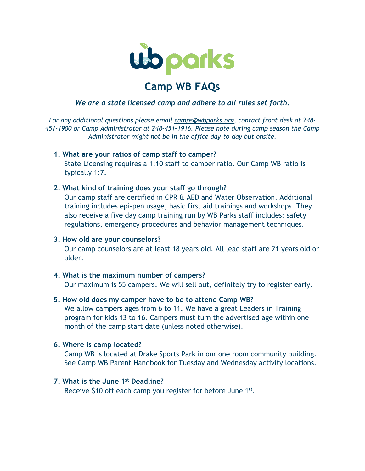

# **Camp WB FAQs**

## *We are a state licensed camp and adhere to all rules set forth.*

*For any additional questions please email [camps@wbparks.org,](mailto:camps@wbparks.org) contact front desk at 248- 451-1900 or Camp Administrator at 248-451-1916. Please note during camp season the Camp Administrator might not be in the office day-to-day but onsite.*

## **1. What are your ratios of camp staff to camper?**

State Licensing requires a 1:10 staff to camper ratio. Our Camp WB ratio is typically 1:7.

## **2. What kind of training does your staff go through?**

Our camp staff are certified in CPR & AED and Water Observation. Additional training includes epi-pen usage, basic first aid trainings and workshops. They also receive a five day camp training run by WB Parks staff includes: safety regulations, emergency procedures and behavior management techniques.

## **3. How old are your counselors?**

Our camp counselors are at least 18 years old. All lead staff are 21 years old or older.

# **4. What is the maximum number of campers?**

Our maximum is 55 campers. We will sell out, definitely try to register early.

## **5. How old does my camper have to be to attend Camp WB?**

We allow campers ages from 6 to 11. We have a great Leaders in Training program for kids 13 to 16. Campers must turn the advertised age within one month of the camp start date (unless noted otherwise).

## **6. Where is camp located?**

Camp WB is located at Drake Sports Park in our one room community building. See Camp WB Parent Handbook for Tuesday and Wednesday activity locations.

# **7. What is the June 1st Deadline?**

Receive \$10 off each camp you register for before June 1<sup>st</sup>.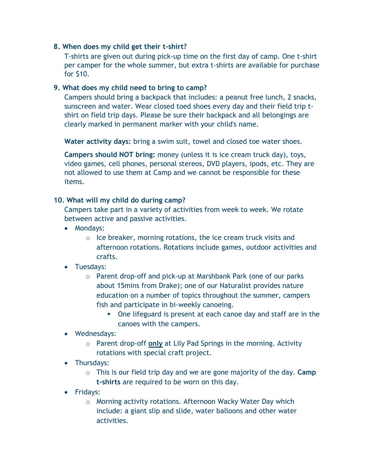# **8. When does my child get their t-shirt?**

T-shirts are given out during pick-up time on the first day of camp. One t-shirt per camper for the whole summer, but extra t-shirts are available for purchase for \$10.

## **9. What does my child need to bring to camp?**

Campers should bring a backpack that includes: a peanut free lunch, 2 snacks, sunscreen and water. Wear closed toed shoes every day and their field trip tshirt on field trip days. Please be sure their backpack and all belongings are clearly marked in permanent marker with your child's name.

**Water activity days:** bring a swim suit, towel and closed toe water shoes.

**Campers should NOT bring:** money (unless it is ice cream truck day), toys, video games, cell phones, personal stereos, DVD players, ipods, etc. They are not allowed to use them at Camp and we cannot be responsible for these items.

## **10. What will my child do during camp?**

Campers take part in a variety of activities from week to week. We rotate between active and passive activities.

- Mondays:
	- o Ice breaker, morning rotations, the ice cream truck visits and afternoon rotations. Rotations include games, outdoor activities and crafts.
- Tuesdays:
	- o Parent drop-off and pick-up at Marshbank Park (one of our parks about 15mins from Drake); one of our Naturalist provides nature education on a number of topics throughout the summer, campers fish and participate in bi-weekly canoeing.
		- One lifeguard is present at each canoe day and staff are in the canoes with the campers.
- Wednesdays:
	- o Parent drop-off **only** at Lily Pad Springs in the morning. Activity rotations with special craft project.
- Thursdays:
	- o This is our field trip day and we are gone majority of the day. **Camp t-shirts** are required to be worn on this day.
- Fridays:
	- o Morning activity rotations. Afternoon Wacky Water Day which include: a giant slip and slide, water balloons and other water activities.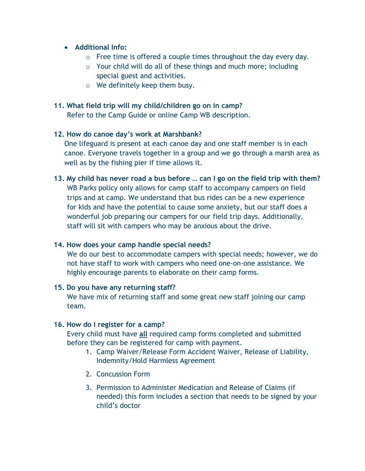# • **Additional Info:**

- $\circ$  Free time is offered a couple times throughout the day every day.
- o Your child will do all of these things and much more; including special guest and activities.
- o We definitely keep them busy.

# **11. What field trip will my child/children go on in camp?**

Refer to the Camp Guide or online Camp WB description.

# **12. How do canoe day's work at Marshbank?**

One lifeguard is present at each canoe day and one staff member is in each canoe. Everyone travels together in a group and we go through a marsh area as well as by the fishing pier if time allows it.

# **13. My child has never road a bus before … can I go on the field trip with them?**  WB Parks policy only allows for camp staff to accompany campers on field trips and at camp. We understand that bus rides can be a new experience for kids and have the potential to cause some anxiety, but our staff does a wonderful job preparing our campers for our field trip days. Additionally, staff will sit with campers who may be anxious about the drive.

# **14. How does your camp handle special needs?**

We do our best to accommodate campers with special needs; however, we do not have staff to work with campers who need one-on-one assistance. We highly encourage parents to elaborate on their camp forms.

# **15. Do you have any returning staff?**

We have mix of returning staff and some great new staff joining our camp team.

# **16. How do I register for a camp?**

Every child must have **all** required camp forms completed and submitted before they can be registered for camp with payment.

- 1. Camp Waiver/Release Form Accident Waiver, Release of Liability, Indemnity/Hold Harmless Agreement
- 2. Concussion Form
- 3. Permission to Administer Medication and Release of Claims (if needed) this form includes a section that needs to be signed by your child's doctor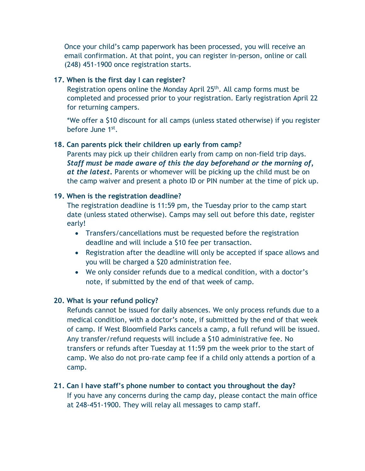Once your child's camp paperwork has been processed, you will receive an email confirmation. At that point, you can register in-person, online or call (248) 451-1900 once registration starts.

## **17. When is the first day I can register?**

Registration opens online the Monday April 25th. All camp forms must be completed and processed prior to your registration. Early registration April 22 for returning campers.

\*We offer a \$10 discount for all camps (unless stated otherwise) if you register before June 1st.

## **18. Can parents pick their children up early from camp?**

Parents may pick up their children early from camp on non-field trip days. *Staff must be made aware of this the day beforehand or the morning of, at the latest***.** Parents or whomever will be picking up the child must be on the camp waiver and present a photo ID or PIN number at the time of pick up.

## **19. When is the registration deadline?**

The registration deadline is 11:59 pm, the Tuesday prior to the camp start date (unless stated otherwise). Camps may sell out before this date, register early!

- Transfers/cancellations must be requested before the registration deadline and will include a \$10 fee per transaction.
- Registration after the deadline will only be accepted if space allows and you will be charged a \$20 administration fee.
- We only consider refunds due to a medical condition, with a doctor's note, if submitted by the end of that week of camp.

# **20. What is your refund policy?**

Refunds cannot be issued for daily absences. We only process refunds due to a medical condition, with a doctor's note, if submitted by the end of that week of camp. If West Bloomfield Parks cancels a camp, a full refund will be issued. Any transfer/refund requests will include a \$10 administrative fee. No transfers or refunds after Tuesday at 11:59 pm the week prior to the start of camp. We also do not pro-rate camp fee if a child only attends a portion of a camp.

# **21. Can I have staff's phone number to contact you throughout the day?**

If you have any concerns during the camp day, please contact the main office at 248-451-1900. They will relay all messages to camp staff.